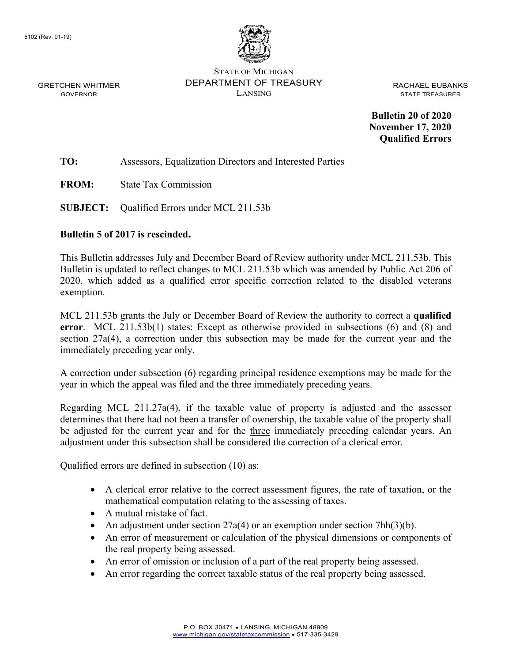

STATE OF MICHIGAN DEPARTMENT OF TREASURY LANSING

RACHAEL EUBANKS STATE TREASURER

**Bulletin 20 of 2020 November 17, 2020 Qualified Errors**

**TO:** Assessors, Equalization Directors and Interested Parties

**FROM:** State Tax Commission

**SUBJECT:** Qualified Errors under MCL 211.53b

# **Bulletin 5 of 2017 is rescinded.**

This Bulletin addresses July and December Board of Review authority under MCL 211.53b. This Bulletin is updated to reflect changes to MCL 211.53b which was amended by Public Act 206 of 2020, which added as a qualified error specific correction related to the disabled veterans exemption.

MCL 211.53b grants the July or December Board of Review the authority to correct a **qualified error**. MCL 211.53b(1) states: Except as otherwise provided in subsections (6) and (8) and section 27a(4), a correction under this subsection may be made for the current year and the immediately preceding year only.

A correction under subsection (6) regarding principal residence exemptions may be made for the year in which the appeal was filed and the three immediately preceding years.

Regarding MCL 211.27a(4), if the taxable value of property is adjusted and the assessor determines that there had not been a transfer of ownership, the taxable value of the property shall be adjusted for the current year and for the three immediately preceding calendar years. An adjustment under this subsection shall be considered the correction of a clerical error.

Qualified errors are defined in subsection (10) as:

- A clerical error relative to the correct assessment figures, the rate of taxation, or the mathematical computation relating to the assessing of taxes.
- A mutual mistake of fact.
- An adjustment under section  $27a(4)$  or an exemption under section  $7hh(3)(b)$ .
- An error of measurement or calculation of the physical dimensions or components of the real property being assessed.
- An error of omission or inclusion of a part of the real property being assessed.
- An error regarding the correct taxable status of the real property being assessed.

GRETCHEN WHITMER GOVERNOR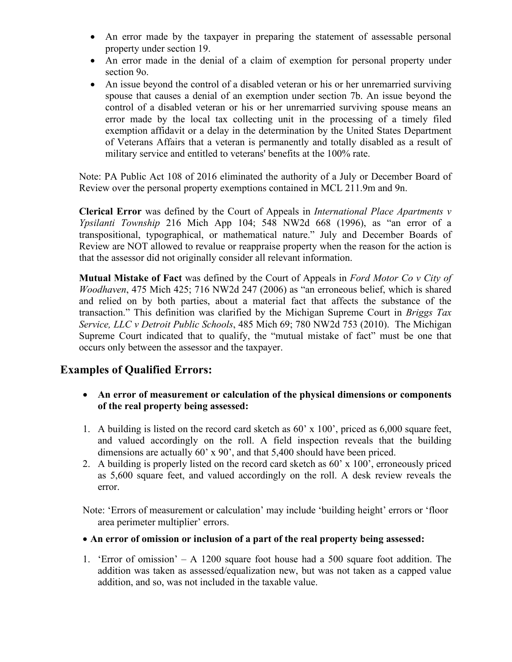- An error made by the taxpayer in preparing the statement of assessable personal property under section 19.
- An error made in the denial of a claim of exemption for personal property under section 9o.
- An issue beyond the control of a disabled veteran or his or her unremarried surviving spouse that causes a denial of an exemption under section 7b. An issue beyond the control of a disabled veteran or his or her unremarried surviving spouse means an error made by the local tax collecting unit in the processing of a timely filed exemption affidavit or a delay in the determination by the United States Department of Veterans Affairs that a veteran is permanently and totally disabled as a result of military service and entitled to veterans' benefits at the 100% rate.

Note: PA Public Act 108 of 2016 eliminated the authority of a July or December Board of Review over the personal property exemptions contained in MCL 211.9m and 9n.

**Clerical Error** was defined by the Court of Appeals in *International Place Apartments v Ypsilanti Township* 216 Mich App 104; 548 NW2d 668 (1996), as "an error of a transpositional, typographical, or mathematical nature." July and December Boards of Review are NOT allowed to revalue or reappraise property when the reason for the action is that the assessor did not originally consider all relevant information.

**Mutual Mistake of Fact** was defined by the Court of Appeals in *Ford Motor Co v City of Woodhaven*, 475 Mich 425; 716 NW2d 247 (2006) as "an erroneous belief, which is shared and relied on by both parties, about a material fact that affects the substance of the transaction." This definition was clarified by the Michigan Supreme Court in *Briggs Tax Service, LLC v Detroit Public Schools*, 485 Mich 69; 780 NW2d 753 (2010). The Michigan Supreme Court indicated that to qualify, the "mutual mistake of fact" must be one that occurs only between the assessor and the taxpayer.

# **Examples of Qualified Errors:**

- • **An error of measurement or calculation of the physical dimensions or components of the real property being assessed:**
- 1. A building is listed on the record card sketch as 60' x 100', priced as 6,000 square feet, and valued accordingly on the roll. A field inspection reveals that the building dimensions are actually 60' x 90', and that 5,400 should have been priced.
- 2. A building is properly listed on the record card sketch as 60' x 100', erroneously priced as 5,600 square feet, and valued accordingly on the roll. A desk review reveals the error.

Note: 'Errors of measurement or calculation' may include 'building height' errors or 'floor area perimeter multiplier' errors.

- **An error of omission or inclusion of a part of the real property being assessed:**
- 1. 'Error of omission' A 1200 square foot house had a 500 square foot addition. The addition was taken as assessed/equalization new, but was not taken as a capped value addition, and so, was not included in the taxable value.